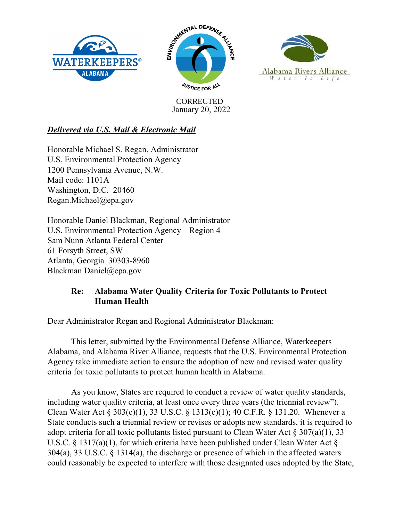





January 20, 2022 **CORRECTED** 

# *Delivered via U.S. Mail & Electronic Mail*

Honorable Michael S. Regan, Administrator U.S. Environmental Protection Agency 1200 Pennsylvania Avenue, N.W. Mail code: 1101A Washington, D.C. 20460 Regan.Michael@epa.gov

Honorable Daniel Blackman, Regional Administrator U.S. Environmental Protection Agency – Region 4 Sam Nunn Atlanta Federal Center 61 Forsyth Street, SW Atlanta, Georgia 30303-8960 Blackman.Daniel@epa.gov

# **Re: Alabama Water Quality Criteria for Toxic Pollutants to Protect Human Health**

Dear Administrator Regan and Regional Administrator Blackman:

This letter, submitted by the Environmental Defense Alliance, Waterkeepers Alabama, and Alabama River Alliance, requests that the U.S. Environmental Protection Agency take immediate action to ensure the adoption of new and revised water quality criteria for toxic pollutants to protect human health in Alabama.

As you know, States are required to conduct a review of water quality standards, including water quality criteria, at least once every three years (the triennial review"). Clean Water Act § 303(c)(1), 33 U.S.C. § 1313(c)(1); 40 C.F.R. § 131.20. Whenever a State conducts such a triennial review or revises or adopts new standards, it is required to adopt criteria for all toxic pollutants listed pursuant to Clean Water Act  $\S 307(a)(1)$ , 33 U.S.C. § 1317(a)(1), for which criteria have been published under Clean Water Act § 304(a), 33 U.S.C. § 1314(a), the discharge or presence of which in the affected waters could reasonably be expected to interfere with those designated uses adopted by the State,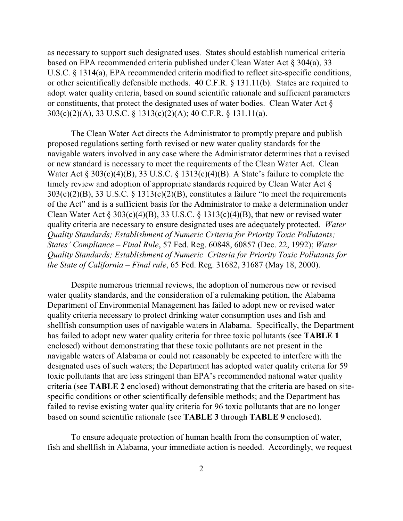as necessary to support such designated uses. States should establish numerical criteria based on EPA recommended criteria published under Clean Water Act § 304(a), 33 U.S.C. § 1314(a), EPA recommended criteria modified to reflect site-specific conditions, or other scientifically defensible methods. 40 C.F.R. § 131.11(b). States are required to adopt water quality criteria, based on sound scientific rationale and sufficient parameters or constituents, that protect the designated uses of water bodies. Clean Water Act § 303(c)(2)(A), 33 U.S.C. § 1313(c)(2)(A); 40 C.F.R. § 131.11(a).

The Clean Water Act directs the Administrator to promptly prepare and publish proposed regulations setting forth revised or new water quality standards for the navigable waters involved in any case where the Administrator determines that a revised or new standard is necessary to meet the requirements of the Clean Water Act. Clean Water Act § 303(c)(4)(B), 33 U.S.C. § 1313(c)(4)(B). A State's failure to complete the timely review and adoption of appropriate standards required by Clean Water Act §  $303(c)(2)(B)$ , 33 U.S.C. § 1313(c)(2)(B), constitutes a failure "to meet the requirements of the Act" and is a sufficient basis for the Administrator to make a determination under Clean Water Act  $\S 303(c)(4)(B)$ , 33 U.S.C.  $\S 1313(c)(4)(B)$ , that new or revised water quality criteria are necessary to ensure designated uses are adequately protected. *Water Quality Standards; Establishment of Numeric Criteria for Priority Toxic Pollutants; States' Compliance – Final Rule*, 57 Fed. Reg. 60848, 60857 (Dec. 22, 1992); *Water Quality Standards; Establishment of Numeric Criteria for Priority Toxic Pollutants for the State of California – Final rule*, 65 Fed. Reg. 31682, 31687 (May 18, 2000).

Despite numerous triennial reviews, the adoption of numerous new or revised water quality standards, and the consideration of a rulemaking petition, the Alabama Department of Environmental Management has failed to adopt new or revised water quality criteria necessary to protect drinking water consumption uses and fish and shellfish consumption uses of navigable waters in Alabama. Specifically, the Department has failed to adopt new water quality criteria for three toxic pollutants (see **TABLE 1** enclosed) without demonstrating that these toxic pollutants are not present in the navigable waters of Alabama or could not reasonably be expected to interfere with the designated uses of such waters; the Department has adopted water quality criteria for 59 toxic pollutants that are less stringent than EPA's recommended national water quality criteria (see **TABLE 2** enclosed) without demonstrating that the criteria are based on sitespecific conditions or other scientifically defensible methods; and the Department has failed to revise existing water quality criteria for 96 toxic pollutants that are no longer based on sound scientific rationale (see **TABLE 3** through **TABLE 9** enclosed).

To ensure adequate protection of human health from the consumption of water, fish and shellfish in Alabama, your immediate action is needed. Accordingly, we request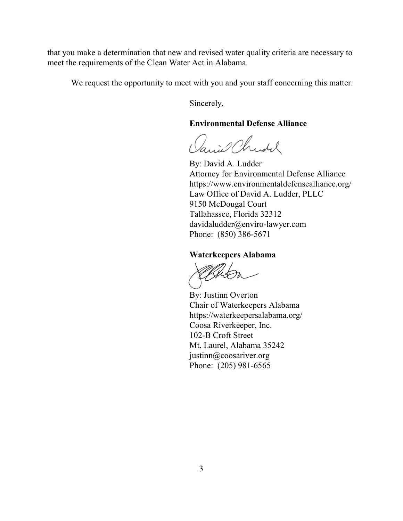that you make a determination that new and revised water quality criteria are necessary to meet the requirements of the Clean Water Act in Alabama.

We request the opportunity to meet with you and your staff concerning this matter.

Sincerely,

### **Environmental Defense Alliance**

anie Christ

By: David A. Ludder Attorney for Environmental Defense Alliance https://www.environmentaldefensealliance.org/ Law Office of David A. Ludder, PLLC 9150 McDougal Court Tallahassee, Florida 32312 davidaludder@enviro-lawyer.com Phone: (850) 386-5671

### **Waterkeepers Alabama**

UHS.

By: Justinn Overton Chair of Waterkeepers Alabama https://waterkeepersalabama.org/ Coosa Riverkeeper, Inc. 102-B Croft Street Mt. Laurel, Alabama 35242 justinn@coosariver.org Phone: (205) 981-6565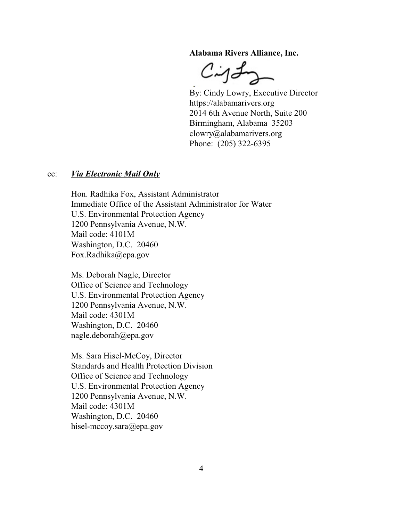**Alabama Rivers Alliance, Inc.**

 $C$ ig L

By: Cindy Lowry, Executive Director https://alabamarivers.org 2014 6th Avenue North, Suite 200 Birmingham, Alabama 35203 clowry@alabamarivers.org Phone: (205) 322-6395

#### cc: *Via Electronic Mail Only*

Hon. Radhika Fox, Assistant Administrator Immediate Office of the Assistant Administrator for Water U.S. Environmental Protection Agency 1200 Pennsylvania Avenue, N.W. Mail code: 4101M Washington, D.C. 20460 Fox.Radhika@epa.gov

Ms. Deborah Nagle, Director Office of Science and Technology U.S. Environmental Protection Agency 1200 Pennsylvania Avenue, N.W. Mail code: 4301M Washington, D.C. 20460 nagle.deborah@epa.gov

Ms. Sara Hisel-McCoy, Director Standards and Health Protection Division Office of Science and Technology U.S. Environmental Protection Agency 1200 Pennsylvania Avenue, N.W. Mail code: 4301M Washington, D.C. 20460 hisel-mccoy.sara@epa.gov